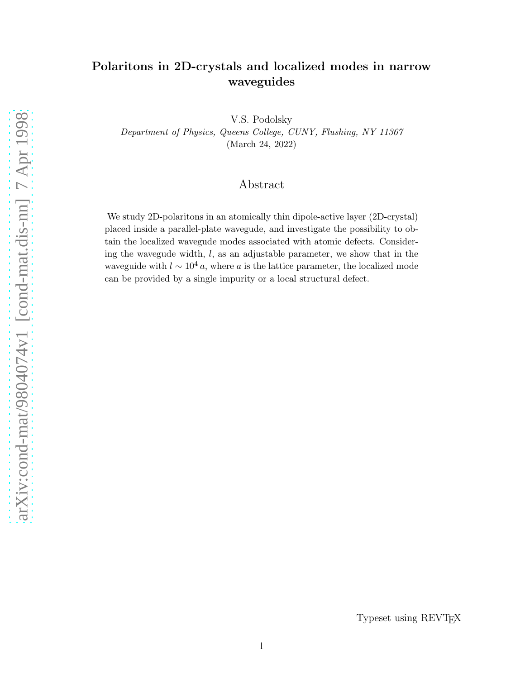# Polaritons in 2D-crystals and localized modes in narrow waveguides

V.S. Podolsky Department of Physics, Queens College, CUNY, Flushing, NY 11367 (March 24, 2022)

## Abstract

We study 2D-polaritons in an atomically thin dipole-active layer (2D-crystal) placed inside a parallel-plate wavegude, and investigate the possibility to obtain the localized wavegude modes associated with atomic defects. Considering the wavegude width,  $l$ , as an adjustable parameter, we show that in the waveguide with  $l \sim 10^4 a$ , where a is the lattice parameter, the localized mode can be provided by a single impurity or a local structural defect.

Typeset using REVTEX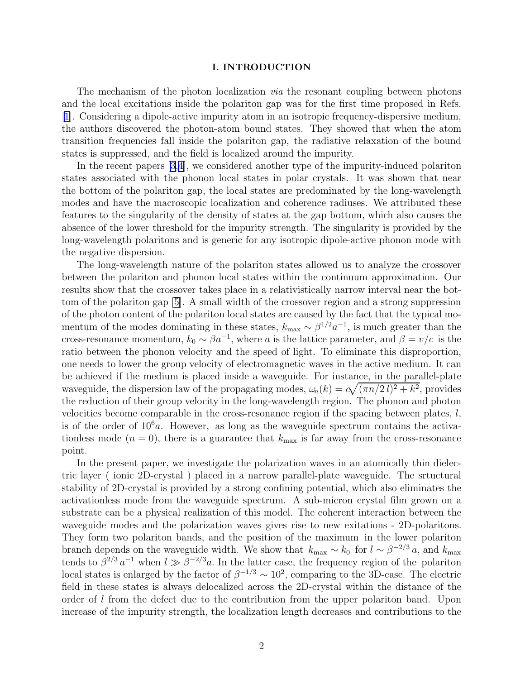#### I. INTRODUCTION

The mechanism of the photon localization *via* the resonant coupling between photons and the local excitations inside the polariton gap was for the first time proposed in Refs. [\[1](#page-7-0)]. Considering a dipole-active impurity atom in an isotropic frequency-dispersive medium, the authors discovered the photon-atom bound states. They showed that when the atom transition frequencies fall inside the polariton gap, the radiative relaxation of the bound states is suppressed, and the field is localized around the impurity.

In the recent papers[[3,4\]](#page-7-0), we considered another type of the impurity-induced polariton states associated with the phonon local states in polar crystals. It was shown that near the bottom of the polariton gap, the local states are predominated by the long-wavelength modes and have the macroscopic localization and coherence radiuses. We attributed these features to the singularity of the density of states at the gap bottom, which also causes the absence of the lower threshold for the impurity strength. The singularity is provided by the long-wavelength polaritons and is generic for any isotropic dipole-active phonon mode with the negative dispersion.

The long-wavelength nature of the polariton states allowed us to analyze the crossover between the polariton and phonon local states within the continuum approximation. Our results show that the crossover takes place in a relativistically narrow interval near the bottom of the polariton gap [\[5](#page-7-0)]. A small width of the crossover region and a strong suppression of the photon content of the polariton local states are caused by the fact that the typical momentum of the modes dominating in these states,  $k_{\text{max}} \sim \beta^{1/2} a^{-1}$ , is much greater than the cross-resonance momentum,  $k_0 \sim \beta a^{-1}$ , where a is the lattice parameter, and  $\beta = v/c$  is the ratio between the phonon velocity and the speed of light. To eliminate this disproportion, one needs to lower the group velocity of electromagnetic waves in the active medium. It can be achieved if the medium is placed inside a waveguide. For instance, in the parallel-plate waveguide, the dispersion law of the propagating modes,  $\omega_n(k) = c\sqrt{(\pi n/2 l)^2 + k^2}$ , provides the reduction of their group velocity in the long-wavelength region. The phonon and photon velocities become comparable in the cross-resonance region if the spacing between plates,  $l$ , is of the order of  $10<sup>6</sup>a$ . However, as long as the waveguide spectrum contains the activationless mode  $(n = 0)$ , there is a guarantee that  $k_{\text{max}}$  is far away from the cross-resonance point.

In the present paper, we investigate the polarization waves in an atomically thin dielectric layer ( ionic 2D-crystal ) placed in a narrow parallel-plate waveguide. The srtuctural stability of 2D-crystal is provided by a strong confining potential, which also eliminates the activationless mode from the waveguide spectrum. A sub-micron crystal film grown on a substrate can be a physical realization of this model. The coherent interaction between the waveguide modes and the polarization waves gives rise to new exitations - 2D-polaritons. They form two polariton bands, and the position of the maximum in the lower polariton branch depends on the waveguide width. We show that  $k_{\text{max}} \sim k_0$  for  $l \sim \beta^{-2/3} a$ , and  $k_{\text{max}}$ tends to  $\beta^{2/3} a^{-1}$  when  $l \gg \beta^{-2/3} a$ . In the latter case, the frequency region of the polariton local states is enlarged by the factor of  $\beta^{-1/3} \sim 10^2$ , comparing to the 3D-case. The electric field in these states is always delocalized across the 2D-crystal within the distance of the order of l from the defect due to the contribution from the upper polariton band. Upon increase of the impurity strength, the localization length decreases and contributions to the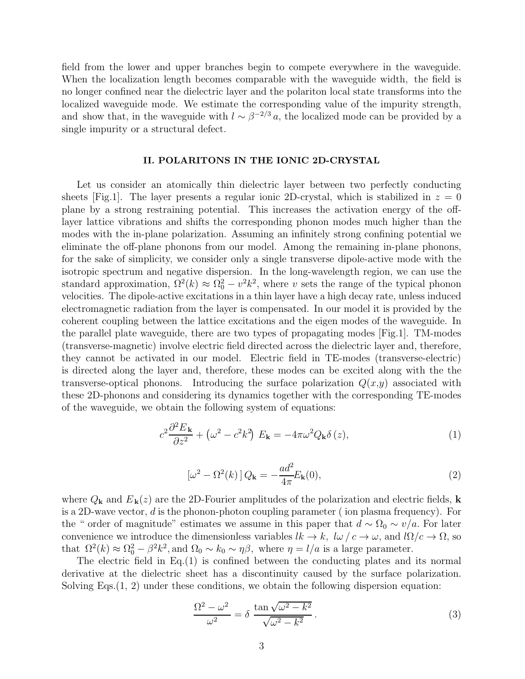field from the lower and upper branches begin to compete everywhere in the waveguide. When the localization length becomes comparable with the waveguide width, the field is no longer confined near the dielectric layer and the polariton local state transforms into the localized waveguide mode. We estimate the corresponding value of the impurity strength, and show that, in the waveguide with  $l \sim \beta^{-2/3} a$ , the localized mode can be provided by a single impurity or a structural defect.

#### II. POLARITONS IN THE IONIC 2D-CRYSTAL

Let us consider an atomically thin dielectric layer between two perfectly conducting sheets [Fig.1]. The layer presents a regular ionic 2D-crystal, which is stabilized in  $z = 0$ plane by a strong restraining potential. This increases the activation energy of the offlayer lattice vibrations and shifts the corresponding phonon modes much higher than the modes with the in-plane polarization. Assuming an infinitely strong confining potential we eliminate the off-plane phonons from our model. Among the remaining in-plane phonons, for the sake of simplicity, we consider only a single transverse dipole-active mode with the isotropic spectrum and negative dispersion. In the long-wavelength region, we can use the standard approximation,  $\Omega^2(k) \approx \Omega_0^2 - v^2 k^2$ , where v sets the range of the typical phonon velocities. The dipole-active excitations in a thin layer have a high decay rate, unless induced electromagnetic radiation from the layer is compensated. In our model it is provided by the coherent coupling between the lattice excitations and the eigen modes of the waveguide. In the parallel plate waveguide, there are two types of propagating modes [Fig.1]. TM-modes (transverse-magnetic) involve electric field directed across the dielectric layer and, therefore, they cannot be activated in our model. Electric field in TE-modes (transverse-electric) is directed along the layer and, therefore, these modes can be excited along with the the transverse-optical phonons. Introducing the surface polarization  $Q(x,y)$  associated with these 2D-phonons and considering its dynamics together with the corresponding TE-modes of the waveguide, we obtain the following system of equations:

$$
c^2 \frac{\partial^2 E_{\mathbf{k}}}{\partial z^2} + \left(\omega^2 - c^2 k^2\right) E_{\mathbf{k}} = -4\pi \omega^2 Q_{\mathbf{k}} \delta(z), \tag{1}
$$

$$
\left[\omega^2 - \Omega^2(k)\right]Q_\mathbf{k} = -\frac{ad^2}{4\pi}E_\mathbf{k}(0),\tag{2}
$$

where  $Q_{\mathbf{k}}$  and  $E_{\mathbf{k}}(z)$  are the 2D-Fourier amplitudes of the polarization and electric fields, **k** is a 2D-wave vector,  $d$  is the phonon-photon coupling parameter (ion plasma frequency). For the " order of magnitude" estimates we assume in this paper that  $d \sim \Omega_0 \sim v/a$ . For later convenience we introduce the dimensionless variables  $lk \to k$ ,  $l\omega/c \to \omega$ , and  $l\Omega/c \to \Omega$ , so that  $\Omega^2(k) \approx \Omega_0^2 - \beta^2 k^2$ , and  $\Omega_0 \sim k_0 \sim \eta \beta$ , where  $\eta = l/a$  is a large parameter.

The electric field in Eq.(1) is confined between the conducting plates and its normal derivative at the dielectric sheet has a discontinuity caused by the surface polarization. Solving Eqs.(1, 2) under these conditions, we obtain the following dispersion equation:

$$
\frac{\Omega^2 - \omega^2}{\omega^2} = \delta \frac{\tan \sqrt{\omega^2 - k^2}}{\sqrt{\omega^2 - k^2}}.
$$
\n(3)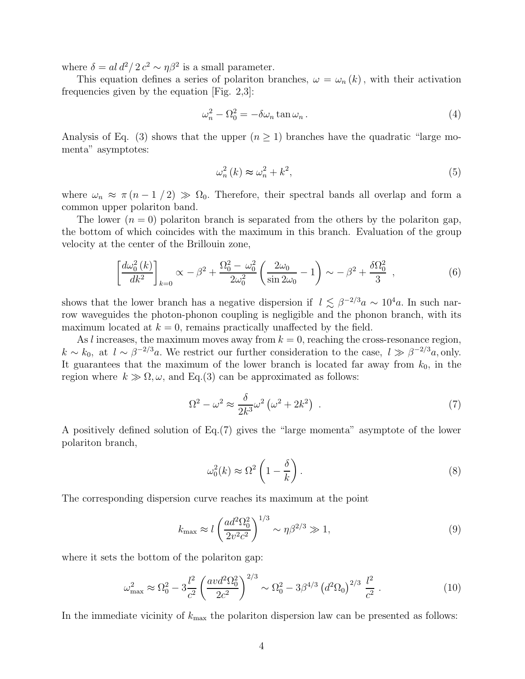where  $\delta = al \, d^2 / 2 \, c^2 \sim \eta \beta^2$  is a small parameter.

This equation defines a series of polariton branches,  $\omega = \omega_n(k)$ , with their activation frequencies given by the equation [Fig. 2,3]:

$$
\omega_n^2 - \Omega_0^2 = -\delta \omega_n \tan \omega_n \,. \tag{4}
$$

Analysis of Eq. (3) shows that the upper  $(n \geq 1)$  branches have the quadratic "large momenta" asymptotes:

$$
\omega_n^2(k) \approx \omega_n^2 + k^2,\tag{5}
$$

where  $\omega_n \approx \pi (n-1/2) \gg \Omega_0$ . Therefore, their spectral bands all overlap and form a common upper polariton band.

The lower  $(n = 0)$  polariton branch is separated from the others by the polariton gap, the bottom of which coincides with the maximum in this branch. Evaluation of the group velocity at the center of the Brillouin zone,

$$
\left[\frac{d\omega_0^2(k)}{dk^2}\right]_{k=0} \propto -\beta^2 + \frac{\Omega_0^2 - \omega_0^2}{2\omega_0^2} \left(\frac{2\omega_0}{\sin 2\omega_0} - 1\right) \sim -\beta^2 + \frac{\delta\Omega_0^2}{3} \quad , \tag{6}
$$

shows that the lower branch has a negative dispersion if  $l \lesssim \beta^{-2/3} a \sim 10^4 a$ . In such narrow waveguides the photon-phonon coupling is negligible and the phonon branch, with its maximum located at  $k = 0$ , remains practically unaffected by the field.

As l increases, the maximum moves away from  $k = 0$ , reaching the cross-resonance region,  $k \sim k_0$ , at  $l \sim \beta^{-2/3}a$ . We restrict our further consideration to the case,  $l \gg \beta^{-2/3}a$ , only. It guarantees that the maximum of the lower branch is located far away from  $k_0$ , in the region where  $k \gg \Omega, \omega$ , and Eq.(3) can be approximated as follows:

$$
\Omega^2 - \omega^2 \approx \frac{\delta}{2k^3} \omega^2 \left(\omega^2 + 2k^2\right) \tag{7}
$$

A positively defined solution of Eq.(7) gives the "large momenta" asymptote of the lower polariton branch,

$$
\omega_0^2(k) \approx \Omega^2 \left( 1 - \frac{\delta}{k} \right). \tag{8}
$$

The corresponding dispersion curve reaches its maximum at the point

$$
k_{\max} \approx l \left(\frac{ad^2 \Omega_0^2}{2v^2 c^2}\right)^{1/3} \sim \eta \beta^{2/3} \gg 1,
$$
\n(9)

where it sets the bottom of the polariton gap:

$$
\omega_{\text{max}}^2 \approx \Omega_0^2 - 3\frac{l^2}{c^2} \left(\frac{av d^2 \Omega_0^2}{2c^2}\right)^{2/3} \sim \Omega_0^2 - 3\beta^{4/3} \left(d^2 \Omega_0\right)^{2/3} \frac{l^2}{c^2} \,. \tag{10}
$$

In the immediate vicinity of  $k_{\text{max}}$  the polariton dispersion law can be presented as follows: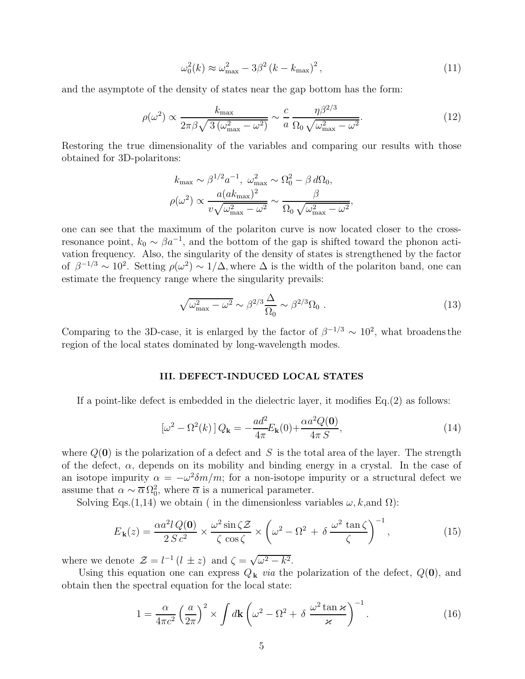$$
\omega_0^2(k) \approx \omega_{\text{max}}^2 - 3\beta^2 (k - k_{\text{max}})^2, \qquad (11)
$$

and the asymptote of the density of states near the gap bottom has the form:

$$
\rho(\omega^2) \propto \frac{k_{\text{max}}}{2\pi\beta\sqrt{3\left(\omega_{\text{max}}^2 - \omega^2\right)}} \sim \frac{c}{a} \frac{\eta\beta^{2/3}}{\Omega_0\sqrt{\omega_{\text{max}}^2 - \omega^2}}.\tag{12}
$$

Restoring the true dimensionality of the variables and comparing our results with those obtained for 3D-polaritons:

$$
k_{\text{max}} \sim \beta^{1/2} a^{-1}, \ \omega_{\text{max}}^2 \sim \Omega_0^2 - \beta d\Omega_0,
$$
  

$$
\rho(\omega^2) \propto \frac{a(a k_{\text{max}})^2}{v \sqrt{\omega_{\text{max}}^2 - \omega^2}} \sim \frac{\beta}{\Omega_0 \sqrt{\omega_{\text{max}}^2 - \omega^2}},
$$

one can see that the maximum of the polariton curve is now located closer to the crossresonance point,  $k_0 \sim \beta a^{-1}$ , and the bottom of the gap is shifted toward the phonon activation frequency. Also, the singularity of the density of states is strengthened by the factor of  $\beta^{-1/3} \sim 10^2$ . Setting  $\rho(\omega^2) \sim 1/\Delta$ , where  $\Delta$  is the width of the polariton band, one can estimate the frequency range where the singularity prevails:

$$
\sqrt{\omega_{\text{max}}^2 - \omega^2} \sim \beta^{2/3} \frac{\Delta}{\Omega_0} \sim \beta^{2/3} \Omega_0 \,. \tag{13}
$$

Comparing to the 3D-case, it is enlarged by the factor of  $\beta^{-1/3} \sim 10^2$ , what broadens the region of the local states dominated by long-wavelength modes.

#### III. DEFECT-INDUCED LOCAL STATES

If a point-like defect is embedded in the dielectric layer, it modifies Eq.(2) as follows:

$$
\left[\omega^2 - \Omega^2(k)\right]Q_\mathbf{k} = -\frac{ad^2}{4\pi}E_\mathbf{k}(0) + \frac{\alpha a^2 Q(\mathbf{0})}{4\pi S},\tag{14}
$$

where  $Q(\mathbf{0})$  is the polarization of a defect and S is the total area of the layer. The strength of the defect,  $\alpha$ , depends on its mobility and binding energy in a crystal. In the case of an isotope impurity  $\alpha = -\omega^2 \delta m/m$ ; for a non-isotope impurity or a structural defect we assume that  $\alpha \sim \overline{\alpha} \Omega_0^2$ , where  $\overline{\alpha}$  is a numerical parameter.

Solving Eqs.(1,14) we obtain ( in the dimensionless variables  $\omega$ , k, and  $\Omega$ ):

$$
E_{\mathbf{k}}(z) = \frac{\alpha a^2 l \, Q(\mathbf{0})}{2 \, S \, c^2} \times \frac{\omega^2 \sin \zeta \mathcal{Z}}{\zeta \, \cos \zeta} \times \left(\omega^2 - \Omega^2 + \delta \, \frac{\omega^2 \, \tan \zeta}{\zeta}\right)^{-1},\tag{15}
$$

where we denote  $\mathcal{Z} = l^{-1} (l \pm z)$  and  $\zeta = \sqrt{\omega^2 - k^2}$ .

Using this equation one can express  $Q_k$  *via* the polarization of the defect,  $Q(\mathbf{0})$ , and obtain then the spectral equation for the local state:

$$
1 = \frac{\alpha}{4\pi c^2} \left(\frac{a}{2\pi}\right)^2 \times \int d\mathbf{k} \left(\omega^2 - \Omega^2 + \delta \frac{\omega^2 \tan \varkappa}{\varkappa}\right)^{-1}.
$$
 (16)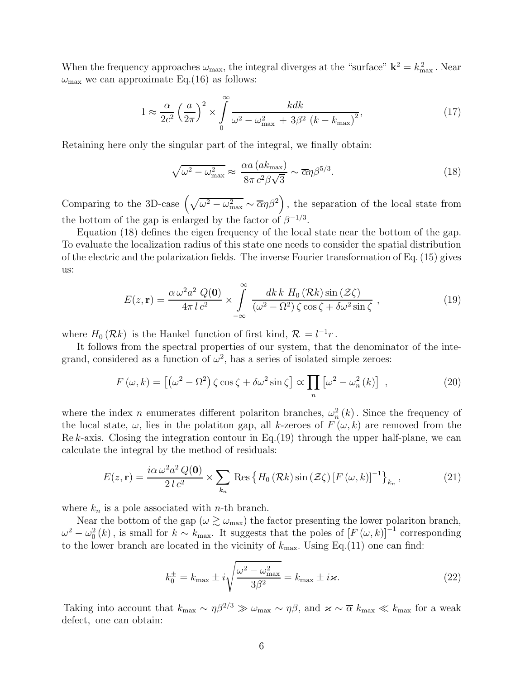When the frequency approaches  $\omega_{\text{max}}$ , the integral diverges at the "surface"  $\mathbf{k}^2 = k_{\text{max}}^2$ . Near  $\omega_{\text{max}}$  we can approximate Eq.(16) as follows:

$$
1 \approx \frac{\alpha}{2c^2} \left(\frac{a}{2\pi}\right)^2 \times \int_0^\infty \frac{kdk}{\omega^2 - \omega_{\text{max}}^2 + 3\beta^2 (k - k_{\text{max}})^2},\tag{17}
$$

Retaining here only the singular part of the integral, we finally obtain:

$$
\sqrt{\omega^2 - \omega_{\text{max}}^2} \approx \frac{\alpha a (a k_{\text{max}})}{8\pi c^2 \beta \sqrt{3}} \sim \overline{\alpha} \eta \beta^{5/3}.
$$
\n(18)

Comparing to the 3D-case  $(\sqrt{\omega^2 - \omega_{\text{max}}^2} \sim \overline{\alpha}\eta\beta^2)$ , the separation of the local state from the bottom of the gap is enlarged by the factor of  $\beta^{-1/3}$ .

Equation (18) defines the eigen frequency of the local state near the bottom of the gap. To evaluate the localization radius of this state one needs to consider the spatial distribution of the electric and the polarization fields. The inverse Fourier transformation of Eq. (15) gives us:

$$
E(z, \mathbf{r}) = \frac{\alpha \omega^2 a^2 Q(\mathbf{0})}{4\pi l c^2} \times \int_{-\infty}^{\infty} \frac{dk k H_0(\mathcal{R}k) \sin(\mathcal{Z}\zeta)}{(\omega^2 - \Omega^2) \zeta \cos\zeta + \delta\omega^2 \sin\zeta},
$$
(19)

where  $H_0(\mathcal{R}_k)$  is the Hankel function of first kind,  $\mathcal{R} = l^{-1}r$ .

It follows from the spectral properties of our system, that the denominator of the integrand, considered as a function of  $\omega^2$ , has a series of isolated simple zeroes:

$$
F(\omega, k) = \left[ \left( \omega^2 - \Omega^2 \right) \zeta \cos \zeta + \delta \omega^2 \sin \zeta \right] \propto \prod_n \left[ \omega^2 - \omega_n^2(k) \right] , \qquad (20)
$$

where the index n enumerates different polariton branches,  $\omega_n^2$  $n<sub>n</sub><sup>2</sup>(k)$ . Since the frequency of the local state,  $\omega$ , lies in the polatiton gap, all k-zeroes of  $F(\omega, k)$  are removed from the Re k-axis. Closing the integration contour in Eq.  $(19)$  through the upper half-plane, we can calculate the integral by the method of residuals:

$$
E(z, \mathbf{r}) = \frac{i\alpha \,\omega^2 a^2 \,Q(\mathbf{0})}{2 \,l \,c^2} \times \sum_{k_n} \text{Res} \left\{ H_0 \left( \mathcal{R}k \right) \sin \left( \mathcal{Z} \zeta \right) \left[ F \left( \omega, k \right) \right]^{-1} \right\}_{k_n},\tag{21}
$$

where  $k_n$  is a pole associated with *n*-th branch.

Near the bottom of the gap  $(\omega \gtrsim \omega_{\text{max}})$  the factor presenting the lower polariton branch,  $\omega^2 - \omega_0^2(k)$ , is small for  $k \sim k_{\text{max}}$ . It suggests that the poles of  $[F(\omega, k)]^{-1}$  corresponding to the lower branch are located in the vicinity of  $k_{\text{max}}$ . Using Eq.(11) one can find:

$$
k_0^{\pm} = k_{\text{max}} \pm i \sqrt{\frac{\omega^2 - \omega_{\text{max}}^2}{3\beta^2}} = k_{\text{max}} \pm i\varkappa. \tag{22}
$$

Taking into account that  $k_{\text{max}} \sim \eta \beta^{2/3} \gg \omega_{\text{max}} \sim \eta \beta$ , and  $\varkappa \sim \overline{\alpha} k_{\text{max}} \ll k_{\text{max}}$  for a weak defect, one can obtain: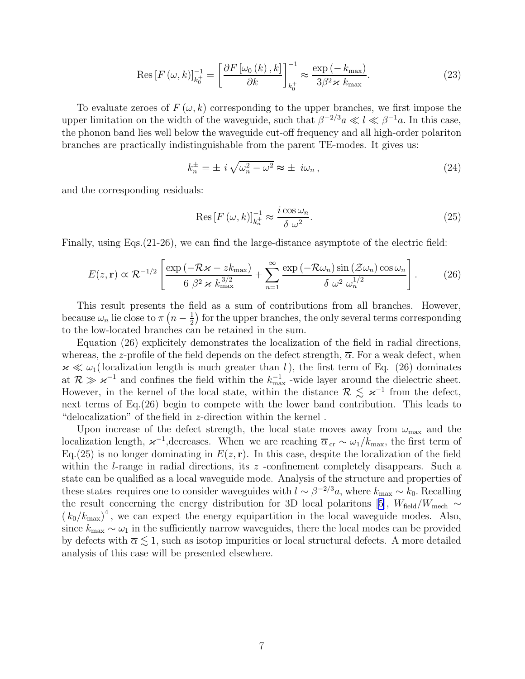$$
\operatorname{Res}\left[F\left(\omega,k\right)\right]_{k_0^+}^{-1} = \left[\frac{\partial F\left[\omega_0\left(k\right),k\right]}{\partial k}\right]_{k_0^+}^{-1} \approx \frac{\exp\left(-k_{\text{max}}\right)}{3\beta^2 \times k_{\text{max}}}.\tag{23}
$$

To evaluate zeroes of  $F(\omega, k)$  corresponding to the upper branches, we first impose the upper limitation on the width of the waveguide, such that  $\beta^{-2/3}a \ll l \ll \beta^{-1}a$ . In this case, the phonon band lies well below the waveguide cut-off frequency and all high-order polariton branches are practically indistinguishable from the parent TE-modes. It gives us:

$$
k_n^{\pm} = \pm i \sqrt{\omega_n^2 - \omega^2} \approx \pm i\omega_n, \qquad (24)
$$

and the corresponding residuals:

$$
\operatorname{Res}\left[F\left(\omega,k\right)\right]_{k_n^+}^{-1} \approx \frac{i\cos\omega_n}{\delta\ \omega^2}.\tag{25}
$$

Finally, using Eqs.(21-26), we can find the large-distance asymptote of the electric field:

$$
E(z, \mathbf{r}) \propto \mathcal{R}^{-1/2} \left[ \frac{\exp\left(-\mathcal{R}z - z k_{\max}\right)}{6 \ \beta^2 \ \kappa \ k_{\max}^{3/2}} + \sum_{n=1}^{\infty} \frac{\exp\left(-\mathcal{R} \omega_n\right) \sin\left(\mathcal{Z} \omega_n\right) \cos \omega_n}{\delta \ \omega^2 \ \omega_n^{1/2}} \right].
$$
 (26)

This result presents the field as a sum of contributions from all branches. However, because  $\omega_n$  lie close to  $\pi\left(n-\frac{1}{2}\right)$  $\frac{1}{2}$ ) for the upper branches, the only several terms corresponding to the low-located branches can be retained in the sum.

Equation (26) explicitely demonstrates the localization of the field in radial directions, whereas, the z-profile of the field depends on the defect strength,  $\overline{\alpha}$ . For a weak defect, when  $\varkappa \ll \omega_1$  (localization length is much greater than l), the first term of Eq. (26) dominates at  $\mathcal{R} \gg \varkappa^{-1}$  and confines the field within the  $k_{\text{max}}^{-1}$  -wide layer around the dielectric sheet. However, in the kernel of the local state, within the distance  $\mathcal{R} \leq \varkappa^{-1}$  from the defect, next terms of Eq.(26) begin to compete with the lower band contribution. This leads to "delocalization" of the field in z-direction within the kernel .

Upon increase of the defect strength, the local state moves away from  $\omega_{\text{max}}$  and the localization length,  $\varkappa^{-1}$ , decreases. When we are reaching  $\overline{\alpha}_{cr} \sim \omega_1/k_{\text{max}}$ , the first term of Eq.(25) is no longer dominating in  $E(z, r)$ . In this case, despite the localization of the field within the *l*-range in radial directions, its  $z$  -confinement completely disappears. Such a state can be qualified as a local waveguide mode. Analysis of the structure and properties of these states requires one to consider waveguides with  $l \sim \beta^{-2/3}a$ , where  $k_{\text{max}} \sim k_0$ . Recalling theresult concerning the energy distribution for 3D local polaritons [[5](#page-7-0)],  $W_{\text{field}}/W_{\text{mech}} \sim$  $(k_0/k_{\text{max}})^4$ , we can expect the energy equipartition in the local waveguide modes. Also, since  $k_{\text{max}} \sim \omega_1$  in the sufficiently narrow waveguides, there the local modes can be provided by defects with  $\overline{\alpha} \lesssim 1$ , such as isotop impurities or local structural defects. A more detailed analysis of this case will be presented elsewhere.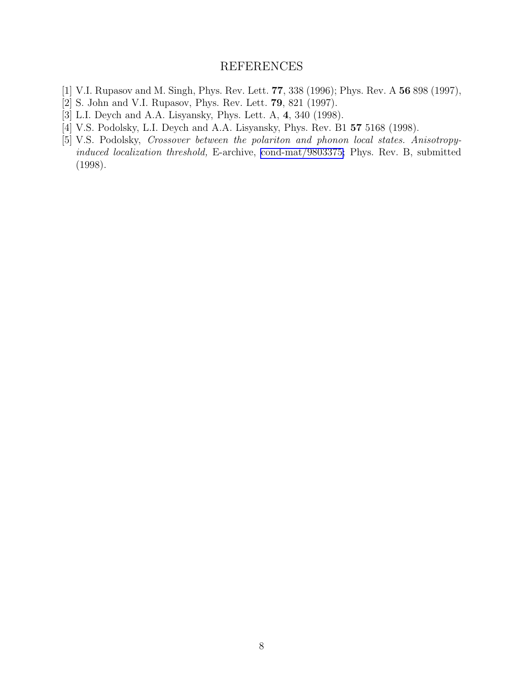### REFERENCES

- <span id="page-7-0"></span>[1] V.I. Rupasov and M. Singh, Phys. Rev. Lett. 77, 338 (1996); Phys. Rev. A 56 898 (1997),
- [2] S. John and V.I. Rupasov, Phys. Rev. Lett. 79, 821 (1997).
- [3] L.I. Deych and A.A. Lisyansky, Phys. Lett. A, 4, 340 (1998).
- [4] V.S. Podolsky, L.I. Deych and A.A. Lisyansky, Phys. Rev. B1 57 5168 (1998).
- [5] V.S. Podolsky, Crossover between the polariton and phonon local states. Anisotropyinduced localization threshold, E-archive, [cond-mat/9803375;](http://arxiv.org/abs/cond-mat/9803375) Phys. Rev. B, submitted (1998).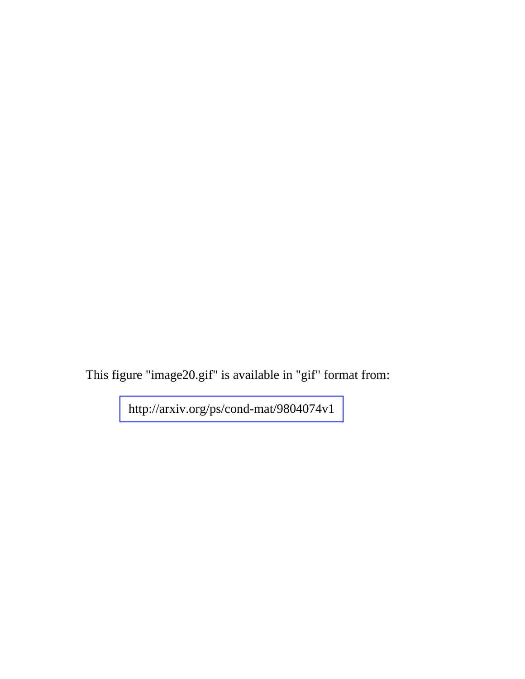This figure "image20.gif" is available in "gif" format from:

<http://arxiv.org/ps/cond-mat/9804074v1>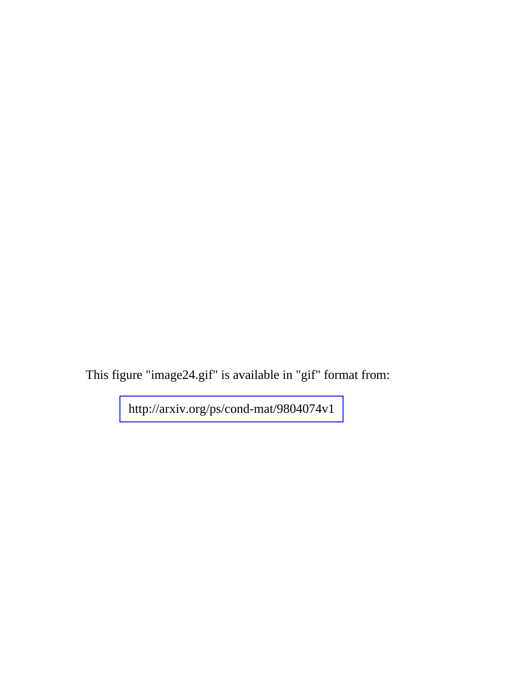This figure "image24.gif" is available in "gif" format from:

<http://arxiv.org/ps/cond-mat/9804074v1>